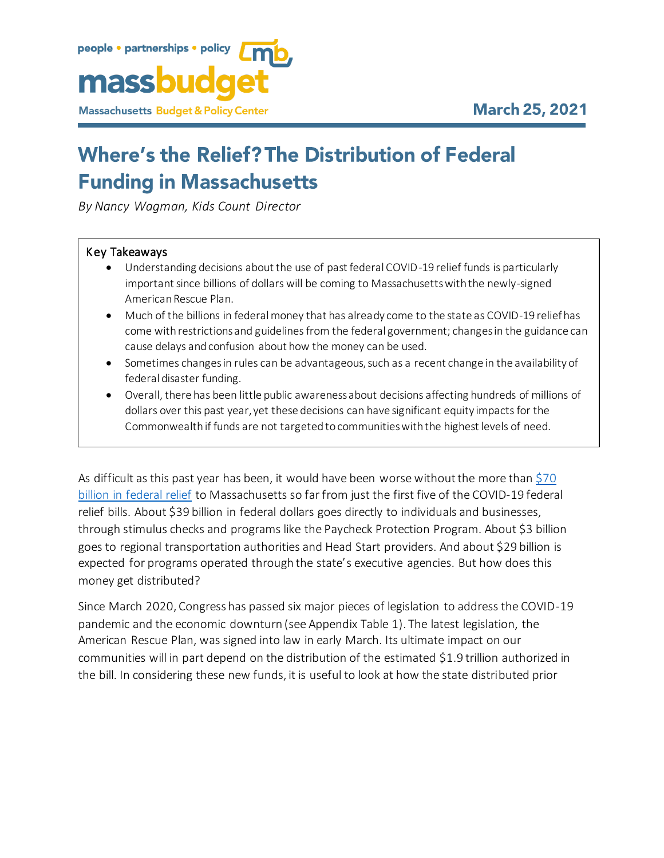

# **Where's the Relief? The Distribution of Federal Funding in Massachusetts**

*By Nancy Wagman, Kids Count Director*

#### Key Takeaways

- Understanding decisions about the use of past federal COVID-19 relief funds is particularly important since billions of dollars will be coming to Massachusetts with the newly-signed American Rescue Plan.
- Much of the billions in federal money that has already come to the state as COVID-19 relief has come with restrictions and guidelines from the federal government; changes in the guidance can cause delays and confusion about how the money can be used.
- Sometimes changes in rules can be advantageous, such as a recent change in the availability of federal disaster funding.
- Overall, there has been little public awareness about decisions affecting hundreds of millions of dollars over this past year, yet these decisions can have significant equity impacts for the Commonwealth if funds are not targeted to communities with the highest levels of need.

As difficult as this past year has been, it would have been worse without the more than \$70 [billion in federal relief](https://www.mass.gov/info-details/about-covid-19-federal-funds) to Massachusetts so far from just the first five of the COVID-19 federal relief bills. About \$39 billion in federal dollars goes directly to individuals and businesses, through stimulus checks and programs like the Paycheck Protection Program. About \$3 billion goes to regional transportation authorities and Head Start providers. And about \$29 billion is expected for programs operated through the state's executive agencies. But how does this money get distributed?

Since March 2020, Congress has passed six major pieces of legislation to address the COVID-19 pandemic and the economic downturn (see Appendix Table 1). The latest legislation, the American Rescue Plan, was signed into law in early March. Its ultimate impact on our communities will in part depend on the distribution of the estimated \$1.9 trillion authorized in the bill. In considering these new funds, it is useful to look at how the state distributed prior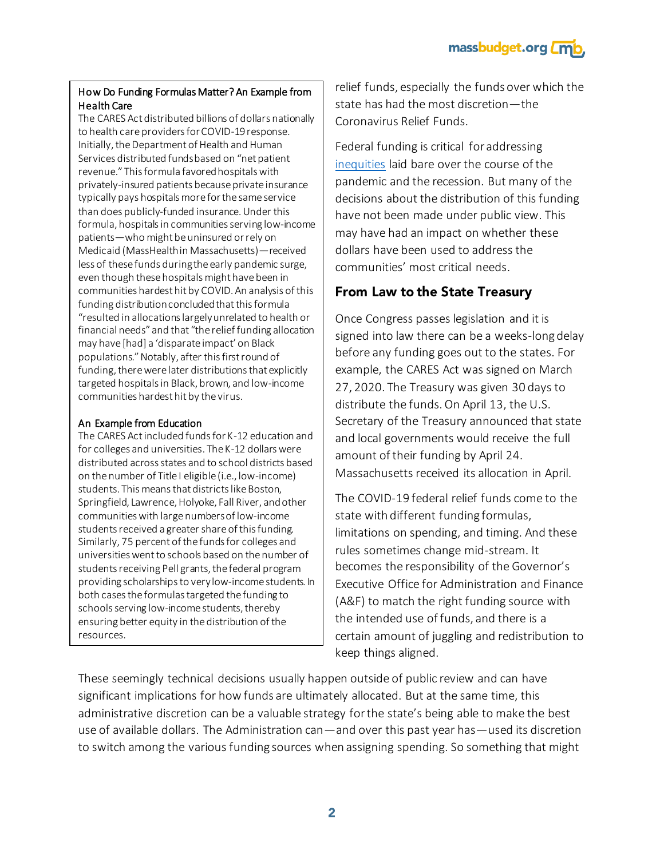massbudget.org *L***mt** 

#### How Do Funding Formulas Matter? An Example from Health Care

The CARES Act distributed billions of dollars nationally to health care providers for COVID-19 response. Initially, the Department of Health and Human Services distributed funds based on "net patient revenue." This formula favored hospitals with privately-insured patients because private insurance typically pays hospitals more for the same service than does publicly-funded insurance. Under this formula, hospitals in communities serving low-income patients—who might be uninsured or rely on Medicaid (MassHealth in Massachusetts)—received less of these funds during the early pandemic surge, even though these hospitals might have been in communities hardest hit by COVID. An analysis of this funding distribution concluded that this formula "resulted in allocations largely unrelated to health or financial needs" and that "the relief funding allocation may have [had] a 'disparate impact' on Black populations." Notably, after this first round of funding, there were later distributions that explicitly targeted hospitals in Black, brown, and low-income communities hardest hit by the virus.

#### An Example from Education

The CARES Act included funds for K-12 education and for colleges and universities. The K-12 dollars were distributed across states and to school districts based on the number of Title I eligible (i.e., low-income) students. This means that districts like Boston, Springfield, Lawrence, Holyoke, Fall River, and other communities with large numbers of low-income students received a greater share of this funding. Similarly, 75 percent of the funds for colleges and universities went to schools based on the number of students receiving Pell grants, the federal program providing scholarships to very low-income students. In both cases the formulas targeted the funding to schools serving low-income students, thereby ensuring better equity in the distribution of the resources.

relief funds, especially the funds over which the state has had the most discretion—the Coronavirus Relief Funds.

Federal funding is critical for addressing [inequities](https://massbudget.org/2020/12/14/the-pandemic-persists-pain-points-for-the-children-of-massachusetts/) laid bare over the course of the pandemic and the recession. But many of the decisions about the distribution of this funding have not been made under public view. This may have had an impact on whether these dollars have been used to address the communities' most critical needs.

## From Law to the State Treasury

Once Congress passes legislation and it is signed into law there can be a weeks-long delay before any funding goes out to the states. For example, the CARES Act was signed on March 27, 2020. The Treasury was given 30 days to distribute the funds. On April 13, the U.S. Secretary of the Treasury announced that state and local governments would receive the full amount of their funding by April 24. Massachusetts received its allocation in April.

The COVID-19 federal relief funds come to the state with different funding formulas, limitations on spending, and timing. And these rules sometimes change mid-stream. It becomes the responsibility of the Governor's Executive Office for Administration and Finance (A&F) to match the right funding source with the intended use of funds, and there is a certain amount of juggling and redistribution to keep things aligned.

These seemingly technical decisions usually happen outside of public review and can have significant implications for how funds are ultimately allocated. But at the same time, this administrative discretion can be a valuable strategy for the state's being able to make the best use of available dollars. The Administration can—and over this past year has—used its discretion to switch among the various funding sources when assigning spending. So something that might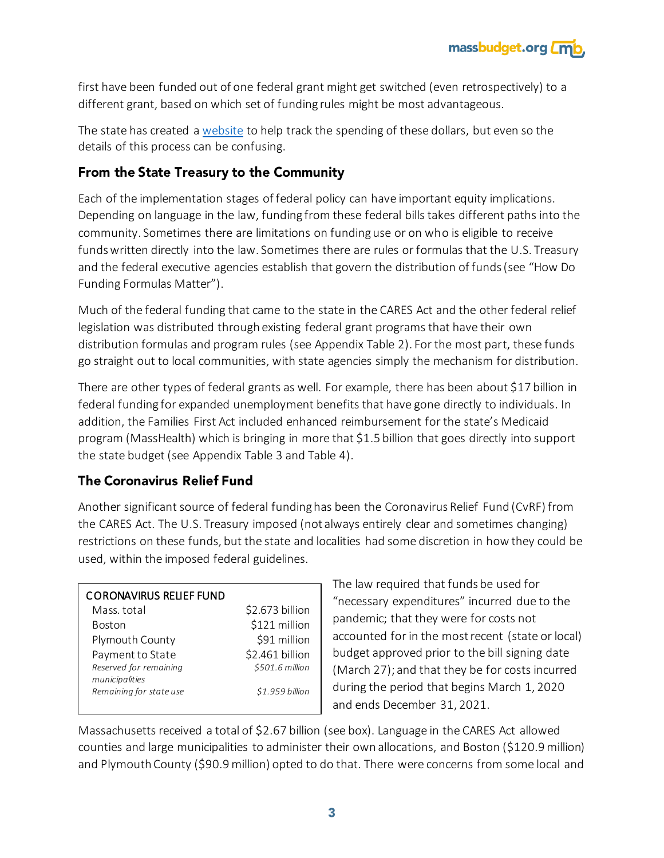

first have been funded out of one federal grant might get switched (even retrospectively) to a different grant, based on which set of funding rules might be most advantageous.

The state has created [a website](https://www.mass.gov/info-details/about-covid-19-federal-funds) to help track the spending of these dollars, but even so the details of this process can be confusing.

## From the State Treasury to the Community

Each of the implementation stages of federal policy can have important equity implications. Depending on language in the law, funding from these federal bills takes different paths into the community. Sometimes there are limitations on funding use or on who is eligible to receive funds written directly into the law. Sometimes there are rules or formulas that the U.S. Treasury and the federal executive agencies establish that govern the distribution of funds (see "How Do Funding Formulas Matter").

Much of the federal funding that came to the state in the CARES Act and the other federal relief legislation was distributed through existing federal grant programs that have their own distribution formulas and program rules (see Appendix Table 2). For the most part, these funds go straight out to local communities, with state agencies simply the mechanism for distribution.

There are other types of federal grants as well. For example, there has been about \$17 billion in federal funding for expanded unemployment benefits that have gone directly to individuals. In addition, the Families First Act included enhanced reimbursement for the state's Medicaid program (MassHealth) which is bringing in more that \$1.5 billion that goes directly into support the state budget (see Appendix Table 3 and Table 4).

# **The Coronavirus Relief Fund**

Another significant source of federal funding has been the Coronavirus Relief Fund (CvRF) from the CARES Act. The U.S. Treasury imposed (not always entirely clear and sometimes changing) restrictions on these funds, but the state and localities had some discretion in how they could be used, within the imposed federal guidelines.

### CORONAVIRUS RELIEF FUND

| Mass. total             | \$2.673 billion |
|-------------------------|-----------------|
| <b>Boston</b>           | \$121 million   |
| Plymouth County         | \$91 million    |
| Payment to State        | \$2.461 billion |
| Reserved for remaining  | \$501.6 million |
| municipalities          |                 |
| Remaining for state use | \$1.959 billion |
|                         |                 |

The law required that funds be used for "necessary expenditures" incurred due to the pandemic; that they were for costs not accounted for in the most recent (state or local) budget approved prior to the bill signing date (March 27); and that they be for costs incurred during the period that begins March 1, 2020 and ends December 31, 2021.

Massachusetts received a total of \$2.67 billion (see box). Language in the CARES Act allowed counties and large municipalities to administer their own allocations, and Boston (\$120.9 million) and Plymouth County (\$90.9 million) opted to do that. There were concerns from some local and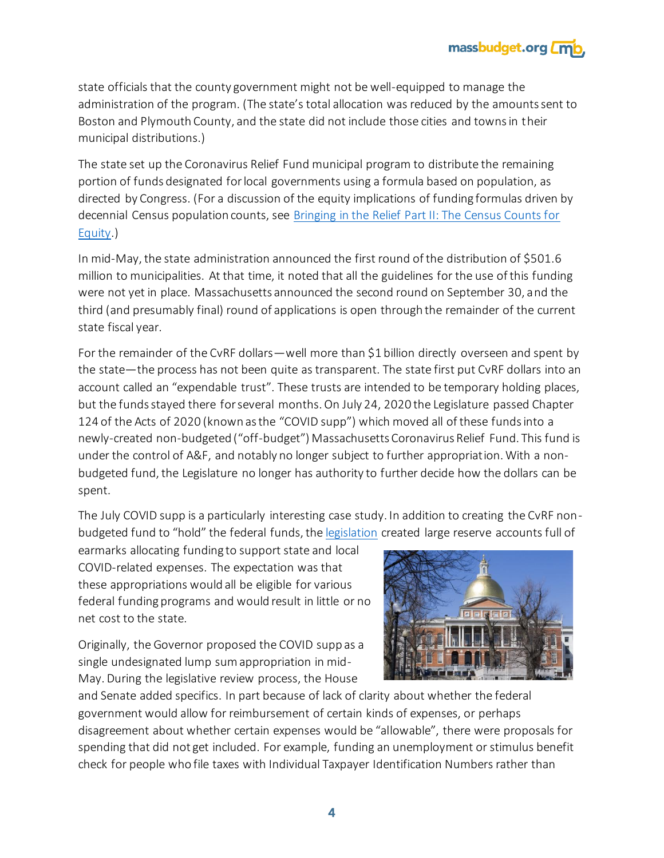

state officials that the county government might not be well-equipped to manage the administration of the program. (The state's total allocation was reduced by the amounts sent to Boston and Plymouth County, and the state did not include those cities and towns in their municipal distributions.)

The state set up the Coronavirus Relief Fund municipal program to distribute the remaining portion of funds designated for local governments using a formula based on population, as directed by Congress. (For a discussion of the equity implications of funding formulas driven by decennial Census population counts, see [Bringing in the Relief Part II: The Census Counts for](https://massbudget.org/reports/pdf/The%20Census%20Counts.pdf)  [Equity.](https://massbudget.org/reports/pdf/The%20Census%20Counts.pdf))

In mid-May, the state administration announced the first round of the distribution of \$501.6 million to municipalities. At that time, it noted that all the guidelines for the use of this funding were not yet in place. Massachusetts announced the second round on September 30, and the third (and presumably final) round of applications is open through the remainder of the current state fiscal year.

For the remainder of the CvRF dollars—well more than \$1 billion directly overseen and spent by the state—the process has not been quite as transparent. The state first put CvRF dollars into an account called an "expendable trust". These trusts are intended to be temporary holding places, but the funds stayed there for several months. On July 24, 2020 the Legislature passed Chapter 124 of the Acts of 2020 (known as the "COVID supp") which moved all of these funds into a newly-created non-budgeted ("off-budget") Massachusetts Coronavirus Relief Fund. This fund is under the control of A&F, and notably no longer subject to further appropriation. With a nonbudgeted fund, the Legislature no longer has authority to further decide how the dollars can be spent.

The July COVID supp is a particularly interesting case study. In addition to creating the CvRF nonbudgeted fund to "hold" the federal funds, th[e legislation](https://malegislature.gov/Laws/SessionLaws/Acts/2020/Chapter124) created large reserve accounts full of

earmarks allocating funding to support state and local COVID-related expenses. The expectation was that these appropriations would all be eligible for various federal funding programs and would result in little or no net cost to the state.

Originally, the Governor proposed the COVID supp as a single undesignated lump sum appropriation in mid-May. During the legislative review process, the House



and Senate added specifics. In part because of lack of clarity about whether the federal government would allow for reimbursement of certain kinds of expenses, or perhaps disagreement about whether certain expenses would be "allowable", there were proposals for spending that did not get included. For example, funding an unemployment or stimulus benefit check for people who file taxes with Individual Taxpayer Identification Numbers rather than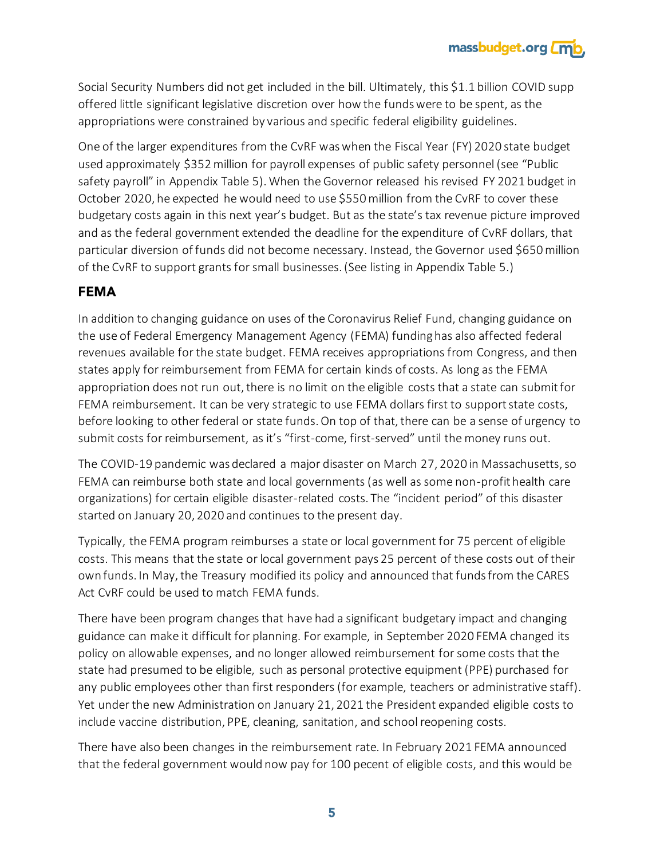

Social Security Numbers did not get included in the bill. Ultimately, this \$1.1 billion COVID supp offered little significant legislative discretion over how the funds were to be spent, as the appropriations were constrained by various and specific federal eligibility guidelines.

One of the larger expenditures from the CvRF was when the Fiscal Year (FY) 2020 state budget used approximately \$352 million for payroll expenses of public safety personnel (see "Public safety payroll" in Appendix Table 5). When the Governor released his revised FY 2021 budget in October 2020, he expected he would need to use \$550 million from the CvRF to cover these budgetary costs again in this next year's budget. But as the state's tax revenue picture improved and as the federal government extended the deadline for the expenditure of CvRF dollars, that particular diversion of funds did not become necessary. Instead, the Governor used \$650 million of the CvRF to support grants for small businesses. (See listing in Appendix Table 5.)

## **FEMA**

In addition to changing guidance on uses of the Coronavirus Relief Fund, changing guidance on the use of Federal Emergency Management Agency (FEMA) funding has also affected federal revenues available for the state budget. FEMA receives appropriations from Congress, and then states apply for reimbursement from FEMA for certain kinds of costs. As long as the FEMA appropriation does not run out, there is no limit on the eligible costs that a state can submit for FEMA reimbursement. It can be very strategic to use FEMA dollars first to support state costs, before looking to other federal or state funds. On top of that, there can be a sense of urgency to submit costs for reimbursement, as it's "first-come, first-served" until the money runs out.

The COVID-19 pandemic was declared a major disaster on March 27, 2020 in Massachusetts, so FEMA can reimburse both state and local governments (as well as some non-profit health care organizations) for certain eligible disaster-related costs. The "incident period" of this disaster started on January 20, 2020 and continues to the present day.

Typically, the FEMA program reimburses a state or local government for 75 percent of eligible costs. This means that the state or local government pays 25 percent of these costs out of their own funds. In May, the Treasury modified its policy and announced that funds from the CARES Act CvRF could be used to match FEMA funds.

There have been program changes that have had a significant budgetary impact and changing guidance can make it difficult for planning. For example, in September 2020 FEMA changed its policy on allowable expenses, and no longer allowed reimbursement for some costs that the state had presumed to be eligible, such as personal protective equipment (PPE) purchased for any public employees other than first responders (for example, teachers or administrative staff). Yet under the new Administration on January 21, 2021 the President expanded eligible costs to include vaccine distribution, PPE, cleaning, sanitation, and school reopening costs.

There have also been changes in the reimbursement rate. In February 2021 FEMA announced that the federal government would now pay for 100 pecent of eligible costs, and this would be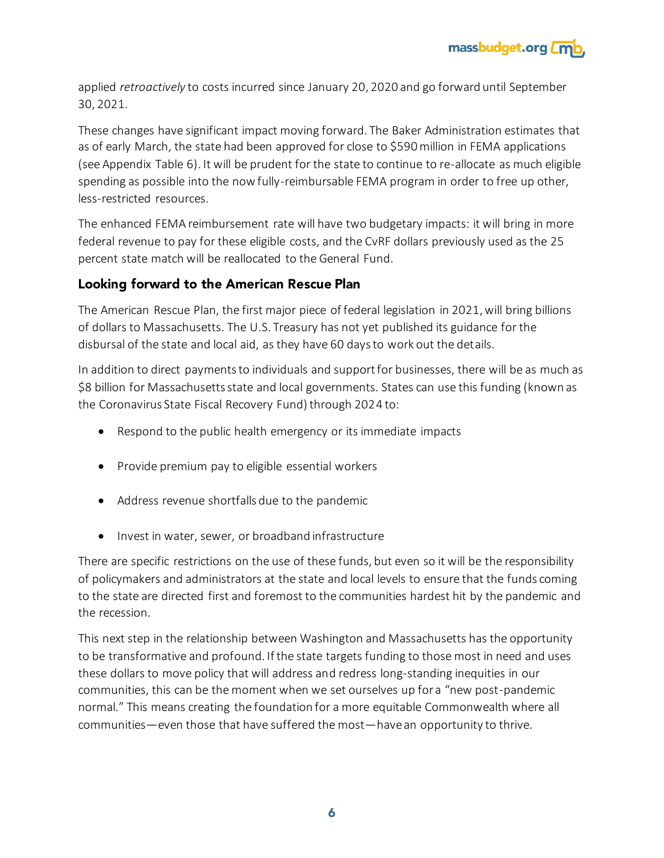

applied *retroactively* to costs incurred since January 20, 2020 and go forward until September 30, 2021.

These changes have significant impact moving forward. The Baker Administration estimates that as of early March, the state had been approved for close to \$590 million in FEMA applications (see Appendix Table 6). It will be prudent for the state to continue to re-allocate as much eligible spending as possible into the now fully-reimbursable FEMA program in order to free up other, less-restricted resources.

The enhanced FEMA reimbursement rate will have two budgetary impacts: it will bring in more federal revenue to pay for these eligible costs, and the CvRF dollars previously used as the 25 percent state match will be reallocated to the General Fund.

## Looking forward to the American Rescue Plan

The American Rescue Plan, the first major piece of federal legislation in 2021, will bring billions of dollars to Massachusetts. The U.S. Treasury has not yet published its guidance for the disbursal of the state and local aid, as they have 60 days to work out the details.

In addition to direct payments to individuals and support for businesses, there will be as much as \$8 billion for Massachusetts state and local governments. States can use this funding (known as the Coronavirus State Fiscal Recovery Fund) through 2024 to:

- Respond to the public health emergency or its immediate impacts
- Provide premium pay to eligible essential workers
- Address revenue shortfalls due to the pandemic
- Invest in water, sewer, or broadband infrastructure

There are specific restrictions on the use of these funds, but even so it will be the responsibility of policymakers and administrators at the state and local levels to ensure that the funds coming to the state are directed first and foremost to the communities hardest hit by the pandemic and the recession.

This next step in the relationship between Washington and Massachusetts has the opportunity to be transformative and profound. If the state targets funding to those most in need and uses these dollars to move policy that will address and redress long-standing inequities in our communities, this can be the moment when we set ourselves up for a "new post-pandemic normal." This means creating the foundation for a more equitable Commonwealth where all communities—even those that have suffered the most—have an opportunity to thrive.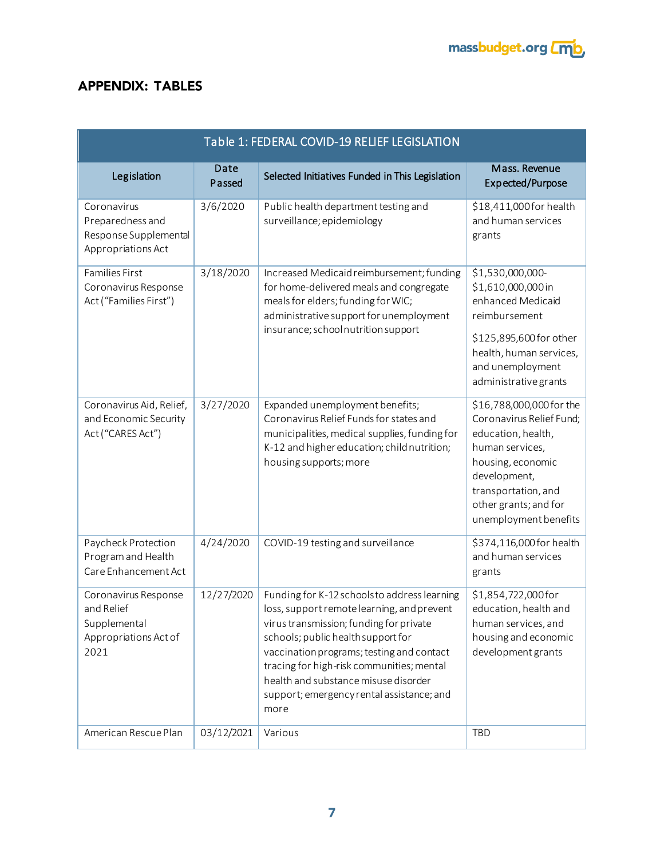

# **APPENDIX: TABLES**

| Table 1: FEDERAL COVID-19 RELIEF LEGISLATION                                        |                |                                                                                                                                                                                                                                                                                                                                                                    |                                                                                                                                                                                                             |
|-------------------------------------------------------------------------------------|----------------|--------------------------------------------------------------------------------------------------------------------------------------------------------------------------------------------------------------------------------------------------------------------------------------------------------------------------------------------------------------------|-------------------------------------------------------------------------------------------------------------------------------------------------------------------------------------------------------------|
| Legislation                                                                         | Date<br>Passed | Selected Initiatives Funded in This Legislation                                                                                                                                                                                                                                                                                                                    | Mass. Revenue<br>Expected/Purpose                                                                                                                                                                           |
| Coronavirus<br>Preparedness and<br>Response Supplemental<br>Appropriations Act      | 3/6/2020       | Public health department testing and<br>surveillance; epidemiology                                                                                                                                                                                                                                                                                                 | \$18,411,000 for health<br>and human services<br>grants                                                                                                                                                     |
| <b>Families First</b><br>Coronavirus Response<br>Act ("Families First")             | 3/18/2020      | Increased Medicaid reimbursement; funding<br>for home-delivered meals and congregate<br>meals for elders; funding for WIC;<br>administrative support for unemployment<br>insurance; school nutrition support                                                                                                                                                       | \$1,530,000,000-<br>\$1,610,000,000 in<br>enhanced Medicaid<br>reimbursement<br>\$125,895,600 for other<br>health, human services,<br>and unemployment<br>administrative grants                             |
| Coronavirus Aid, Relief,<br>and Economic Security<br>Act ("CARES Act")              | 3/27/2020      | Expanded unemployment benefits;<br>Coronavirus Relief Funds for states and<br>municipalities, medical supplies, funding for<br>K-12 and higher education; child nutrition;<br>housing supports; more                                                                                                                                                               | \$16,788,000,000 for the<br>Coronavirus Relief Fund;<br>education, health,<br>human services,<br>housing, economic<br>development,<br>transportation, and<br>other grants; and for<br>unemployment benefits |
| Paycheck Protection<br>Program and Health<br>Care Enhancement Act                   | 4/24/2020      | COVID-19 testing and surveillance                                                                                                                                                                                                                                                                                                                                  | \$374,116,000 for health<br>and human services<br>grants                                                                                                                                                    |
| Coronavirus Response<br>and Relief<br>Supplemental<br>Appropriations Act of<br>2021 | 12/27/2020     | Funding for K-12 schools to address learning<br>loss, support remote learning, and prevent<br>virus transmission; funding for private<br>schools; public health support for<br>vaccination programs; testing and contact<br>tracing for high-risk communities; mental<br>health and substance misuse disorder<br>support; emergency rental assistance; and<br>more | \$1,854,722,000 for<br>education, health and<br>human services, and<br>housing and economic<br>development grants                                                                                           |
| American Rescue Plan                                                                | 03/12/2021     | Various                                                                                                                                                                                                                                                                                                                                                            | TBD                                                                                                                                                                                                         |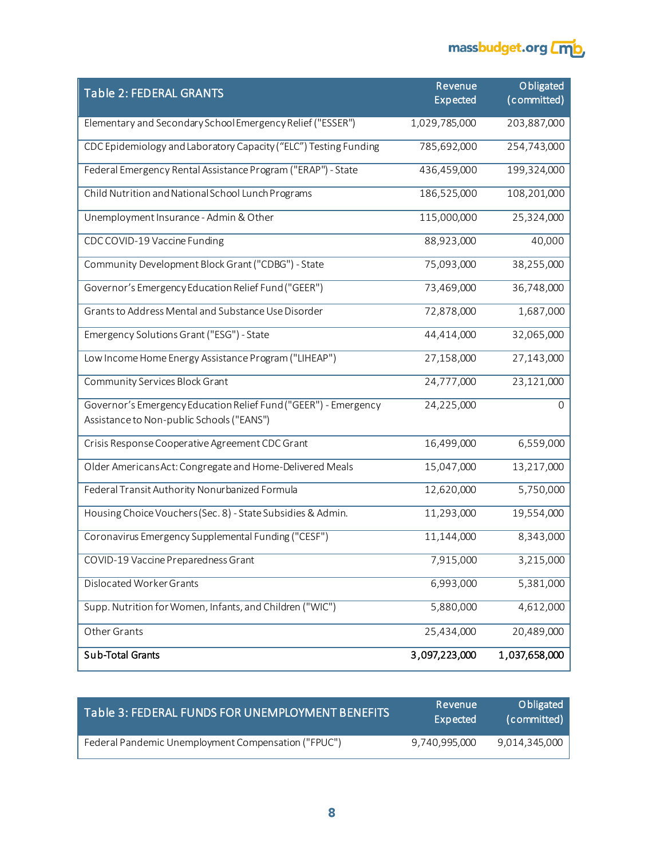

| <b>Table 2: FEDERAL GRANTS</b>                                                                               | Revenue         | Obligated     |
|--------------------------------------------------------------------------------------------------------------|-----------------|---------------|
|                                                                                                              | <b>Expected</b> | (committed)   |
| Elementary and Secondary School Emergency Relief ("ESSER")                                                   | 1,029,785,000   | 203,887,000   |
| CDC Epidemiology and Laboratory Capacity ("ELC") Testing Funding                                             | 785,692,000     | 254,743,000   |
| Federal Emergency Rental Assistance Program ("ERAP") - State                                                 | 436,459,000     | 199,324,000   |
| Child Nutrition and National School Lunch Programs                                                           | 186,525,000     | 108,201,000   |
| Unemployment Insurance - Admin & Other                                                                       | 115,000,000     | 25,324,000    |
| CDC COVID-19 Vaccine Funding                                                                                 | 88,923,000      | 40,000        |
| Community Development Block Grant ("CDBG") - State                                                           | 75,093,000      | 38,255,000    |
| Governor's Emergency Education Relief Fund ("GEER")                                                          | 73,469,000      | 36,748,000    |
| Grants to Address Mental and Substance Use Disorder                                                          | 72,878,000      | 1,687,000     |
| Emergency Solutions Grant ("ESG") - State                                                                    | 44,414,000      | 32,065,000    |
| Low Income Home Energy Assistance Program ("LIHEAP")                                                         | 27,158,000      | 27,143,000    |
| Community Services Block Grant                                                                               | 24,777,000      | 23,121,000    |
| Governor's Emergency Education Relief Fund ("GEER") - Emergency<br>Assistance to Non-public Schools ("EANS") | 24,225,000      | $\Omega$      |
| Crisis Response Cooperative Agreement CDC Grant                                                              | 16,499,000      | 6,559,000     |
| Older Americans Act: Congregate and Home-Delivered Meals                                                     | 15,047,000      | 13,217,000    |
| Federal Transit Authority Nonurbanized Formula                                                               | 12,620,000      | 5,750,000     |
| Housing Choice Vouchers (Sec. 8) - State Subsidies & Admin.                                                  | 11,293,000      | 19,554,000    |
| Coronavirus Emergency Supplemental Funding ("CESF")                                                          | 11,144,000      | 8,343,000     |
| COVID-19 Vaccine Preparedness Grant                                                                          | 7,915,000       | 3,215,000     |
| Dislocated Worker Grants                                                                                     | 6,993,000       | 5,381,000     |
| Supp. Nutrition for Women, Infants, and Children ("WIC")                                                     | 5,880,000       | 4,612,000     |
| Other Grants                                                                                                 | 25,434,000      | 20,489,000    |
| <b>Sub-Total Grants</b>                                                                                      | 3,097,223,000   | 1,037,658,000 |

| Table 3: FEDERAL FUNDS FOR UNEMPLOYMENT BENEFITS    | Revenue<br>Expected | Obligated<br>(committed) |
|-----------------------------------------------------|---------------------|--------------------------|
| Federal Pandemic Unemployment Compensation ("FPUC") | 9,740,995,000       | 9,014,345,000            |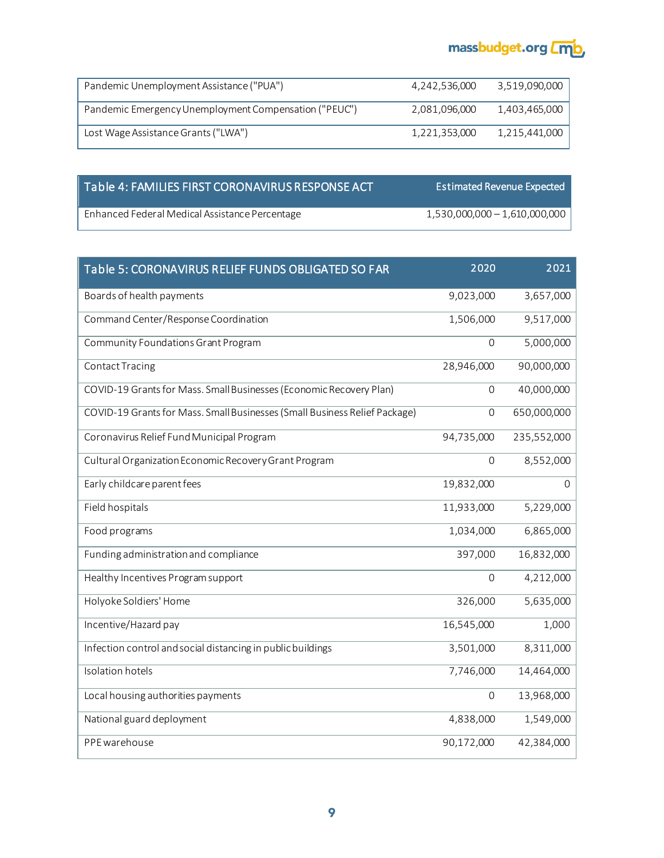

| Pandemic Unemployment Assistance ("PUA")              | 4.242.536.000 | 3,519,090,000 |
|-------------------------------------------------------|---------------|---------------|
| Pandemic Emergency Unemployment Compensation ("PEUC") | 2.081.096.000 | 1,403,465,000 |
| Lost Wage Assistance Grants ("LWA")                   | 1.221.353.000 | 1.215.441.000 |

## Table 4: FAMILIES FIRST CORONAVIRUS RESPONSE ACT Estimated Revenue Expected

Enhanced Federal Medical Assistance Percentage 1,530,000,000 – 1,610,000,000 language 1,530,000,000 language 1,610,000,000

| Table 5: CORONAVIRUS RELIEF FUNDS OBLIGATED SO FAR                         | 2020                | 2021        |
|----------------------------------------------------------------------------|---------------------|-------------|
| Boards of health payments                                                  | 9,023,000           | 3,657,000   |
| Command Center/Response Coordination                                       | 1,506,000           | 9,517,000   |
| Community Foundations Grant Program                                        | $\mathbf 0$         | 5,000,000   |
| Contact Tracing                                                            | 28,946,000          | 90,000,000  |
| COVID-19 Grants for Mass. Small Businesses (Economic Recovery Plan)        | 0                   | 40,000,000  |
| COVID-19 Grants for Mass. Small Businesses (Small Business Relief Package) | $\mathbf 0$         | 650,000,000 |
| Coronavirus Relief Fund Municipal Program                                  | 94,735,000          | 235,552,000 |
| Cultural Organization Economic Recovery Grant Program                      | $\mathbf 0$         | 8,552,000   |
| Early childcare parent fees                                                | 19,832,000          | 0           |
| Field hospitals                                                            | 11,933,000          | 5,229,000   |
| Food programs                                                              | 1,034,000           | 6,865,000   |
| Funding administration and compliance                                      | 397,000             | 16,832,000  |
| Healthy Incentives Program support                                         | $\mathbf 0$         | 4,212,000   |
| Holyoke Soldiers' Home                                                     | 326,000             | 5,635,000   |
| Incentive/Hazard pay                                                       | 16,545,000          | 1,000       |
| Infection control and social distancing in public buildings                | 3,501,000           | 8,311,000   |
| <b>Isolation hotels</b>                                                    | 7,746,000           | 14,464,000  |
| Local housing authorities payments                                         | $\mathsf{O}\xspace$ | 13,968,000  |
| National guard deployment                                                  | 4,838,000           | 1,549,000   |
| PPE warehouse                                                              | 90,172,000          | 42,384,000  |